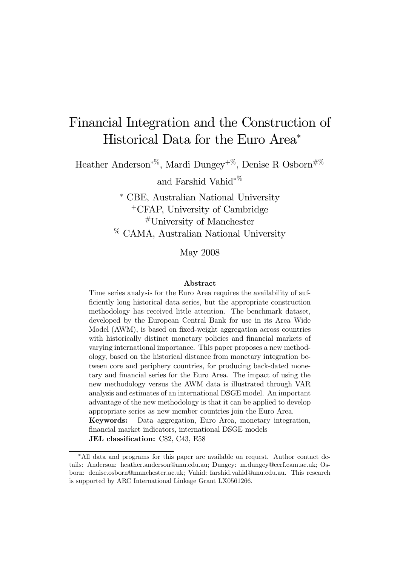# Financial Integration and the Construction of Historical Data for the Euro Area<sup>∗</sup>

Heather Anderson<sup>∗</sup>%, Mardi Dungey+%, Denise R Osborn#% and Farshid Vahid<sup>∗</sup>%

> <sup>∗</sup> CBE, Australian National University <sup>+</sup>CFAP, University of Cambridge #University of Manchester % CAMA, Australian National University

> > May 2008

#### Abstract

Time series analysis for the Euro Area requires the availability of sufficiently long historical data series, but the appropriate construction methodology has received little attention. The benchmark dataset, developed by the European Central Bank for use in its Area Wide Model (AWM), is based on fixed-weight aggregation across countries with historically distinct monetary policies and financial markets of varying international importance. This paper proposes a new methodology, based on the historical distance from monetary integration between core and periphery countries, for producing back-dated monetary and financial series for the Euro Area. The impact of using the new methodology versus the AWM data is illustrated through VAR analysis and estimates of an international DSGE model. An important advantage of the new methodology is that it can be applied to develop appropriate series as new member countries join the Euro Area. Keywords: Data aggregation, Euro Area, monetary integration, financial market indicators, international DSGE models

JEL classification: C82, C43, E58

<sup>∗</sup>All data and programs for this paper are available on request. Author contact details: Anderson: heather.anderson@anu.edu.au; Dungey: m.dungey@cerf.cam.ac.uk; Osborn: denise.osborn@manchester.ac.uk; Vahid: farshid.vahid@anu.edu.au. This research is supported by ARC International Linkage Grant LX0561266.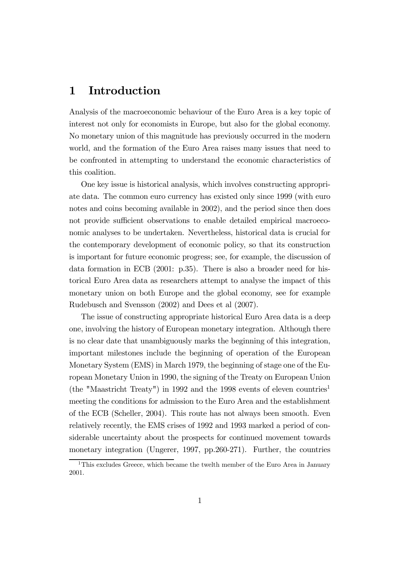# 1 Introduction

Analysis of the macroeconomic behaviour of the Euro Area is a key topic of interest not only for economists in Europe, but also for the global economy. No monetary union of this magnitude has previously occurred in the modern world, and the formation of the Euro Area raises many issues that need to be confronted in attempting to understand the economic characteristics of this coalition.

One key issue is historical analysis, which involves constructing appropriate data. The common euro currency has existed only since 1999 (with euro notes and coins becoming available in 2002), and the period since then does not provide sufficient observations to enable detailed empirical macroeconomic analyses to be undertaken. Nevertheless, historical data is crucial for the contemporary development of economic policy, so that its construction is important for future economic progress; see, for example, the discussion of data formation in ECB (2001: p.35). There is also a broader need for historical Euro Area data as researchers attempt to analyse the impact of this monetary union on both Europe and the global economy, see for example Rudebusch and Svensson (2002) and Dees et al (2007).

The issue of constructing appropriate historical Euro Area data is a deep one, involving the history of European monetary integration. Although there is no clear date that unambiguously marks the beginning of this integration, important milestones include the beginning of operation of the European Monetary System (EMS) in March 1979, the beginning of stage one of the European Monetary Union in 1990, the signing of the Treaty on European Union (the "Maastricht Treaty") in 1992 and the 1998 events of eleven countries<sup>1</sup> meeting the conditions for admission to the Euro Area and the establishment of the ECB (Scheller, 2004). This route has not always been smooth. Even relatively recently, the EMS crises of 1992 and 1993 marked a period of considerable uncertainty about the prospects for continued movement towards monetary integration (Ungerer, 1997, pp.260-271). Further, the countries

<sup>&</sup>lt;sup>1</sup>This excludes Greece, which became the twelth member of the Euro Area in January 2001.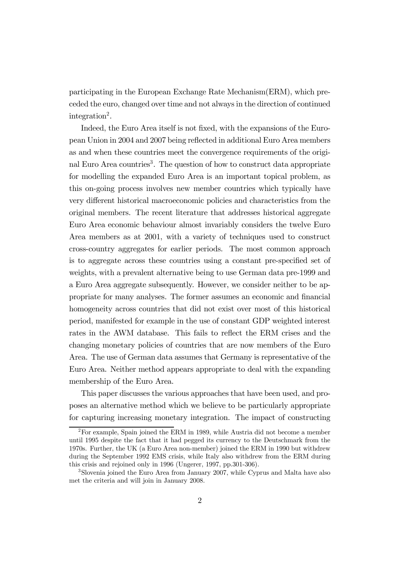participating in the European Exchange Rate Mechanism(ERM), which preceded the euro, changed over time and not always in the direction of continued integration<sup>2</sup>.

Indeed, the Euro Area itself is not fixed, with the expansions of the European Union in 2004 and 2007 being reflected in additional Euro Area members as and when these countries meet the convergence requirements of the original Euro Area countries<sup>3</sup>. The question of how to construct data appropriate for modelling the expanded Euro Area is an important topical problem, as this on-going process involves new member countries which typically have very different historical macroeconomic policies and characteristics from the original members. The recent literature that addresses historical aggregate Euro Area economic behaviour almost invariably considers the twelve Euro Area members as at 2001, with a variety of techniques used to construct cross-country aggregates for earlier periods. The most common approach is to aggregate across these countries using a constant pre-specified set of weights, with a prevalent alternative being to use German data pre-1999 and a Euro Area aggregate subsequently. However, we consider neither to be appropriate for many analyses. The former assumes an economic and financial homogeneity across countries that did not exist over most of this historical period, manifested for example in the use of constant GDP weighted interest rates in the AWM database. This fails to reflect the ERM crises and the changing monetary policies of countries that are now members of the Euro Area. The use of German data assumes that Germany is representative of the Euro Area. Neither method appears appropriate to deal with the expanding membership of the Euro Area.

This paper discusses the various approaches that have been used, and proposes an alternative method which we believe to be particularly appropriate for capturing increasing monetary integration. The impact of constructing

<sup>2</sup>For example, Spain joined the ERM in 1989, while Austria did not become a member until 1995 despite the fact that it had pegged its currency to the Deutschmark from the 1970s. Further, the UK (a Euro Area non-member) joined the ERM in 1990 but withdrew during the September 1992 EMS crisis, while Italy also withdrew from the ERM during this crisis and rejoined only in 1996 (Ungerer, 1997, pp.301-306).

<sup>3</sup>Slovenia joined the Euro Area from January 2007, while Cyprus and Malta have also met the criteria and will join in January 2008.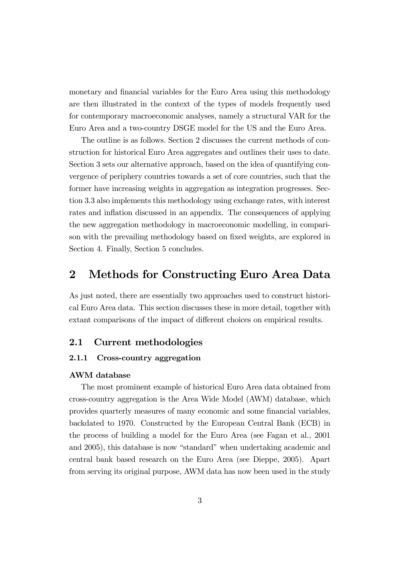monetary and financial variables for the Euro Area using this methodology are then illustrated in the context of the types of models frequently used for contemporary macroeconomic analyses, namely a structural VAR for the Euro Area and a two-country DSGE model for the US and the Euro Area.

The outline is as follows. Section 2 discusses the current methods of construction for historical Euro Area aggregates and outlines their uses to date. Section 3 sets our alternative approach, based on the idea of quantifying convergence of periphery countries towards a set of core countries, such that the former have increasing weights in aggregation as integration progresses. Section 3.3 also implements this methodology using exchange rates, with interest rates and inflation discussed in an appendix. The consequences of applying the new aggregation methodology in macroeconomic modelling, in comparison with the prevailing methodology based on fixed weights, are explored in Section 4. Finally, Section 5 concludes.

## 2 Methods for Constructing Euro Area Data

As just noted, there are essentially two approaches used to construct historical Euro Area data. This section discusses these in more detail, together with extant comparisons of the impact of different choices on empirical results.

#### 2.1 Current methodologies

#### 2.1.1 Cross-country aggregation

#### AWM database

The most prominent example of historical Euro Area data obtained from cross-country aggregation is the Area Wide Model (AWM) database, which provides quarterly measures of many economic and some financial variables, backdated to 1970. Constructed by the European Central Bank (ECB) in the process of building a model for the Euro Area (see Fagan et al., 2001 and 2005), this database is now "standard" when undertaking academic and central bank based research on the Euro Area (see Dieppe, 2005). Apart from serving its original purpose, AWM data has now been used in the study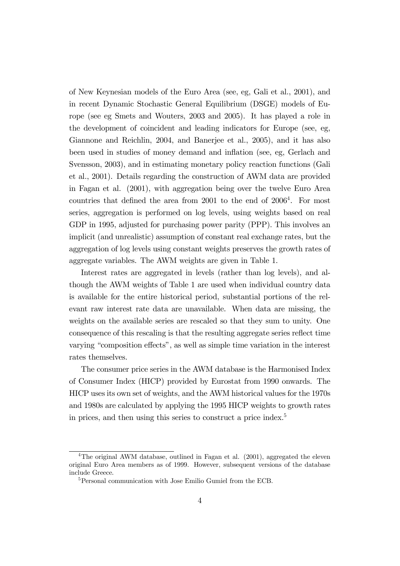of New Keynesian models of the Euro Area (see, eg, Gali et al., 2001), and in recent Dynamic Stochastic General Equilibrium (DSGE) models of Europe (see eg Smets and Wouters, 2003 and 2005). It has played a role in the development of coincident and leading indicators for Europe (see, eg, Giannone and Reichlin, 2004, and Banerjee et al., 2005), and it has also been used in studies of money demand and inflation (see, eg, Gerlach and Svensson, 2003), and in estimating monetary policy reaction functions (Gali et al., 2001). Details regarding the construction of AWM data are provided in Fagan et al. (2001), with aggregation being over the twelve Euro Area countries that defined the area from  $2001$  to the end of  $2006<sup>4</sup>$ . For most series, aggregation is performed on log levels, using weights based on real GDP in 1995, adjusted for purchasing power parity (PPP). This involves an implicit (and unrealistic) assumption of constant real exchange rates, but the aggregation of log levels using constant weights preserves the growth rates of aggregate variables. The AWM weights are given in Table 1.

Interest rates are aggregated in levels (rather than log levels), and although the AWM weights of Table 1 are used when individual country data is available for the entire historical period, substantial portions of the relevant raw interest rate data are unavailable. When data are missing, the weights on the available series are rescaled so that they sum to unity. One consequence of this rescaling is that the resulting aggregate series reflect time varying "composition effects", as well as simple time variation in the interest rates themselves.

The consumer price series in the AWM database is the Harmonised Index of Consumer Index (HICP) provided by Eurostat from 1990 onwards. The HICP uses its own set of weights, and the AWM historical values for the 1970s and 1980s are calculated by applying the 1995 HICP weights to growth rates in prices, and then using this series to construct a price index.<sup>5</sup>

<sup>&</sup>lt;sup>4</sup>The original AWM database, outlined in Fagan et al.  $(2001)$ , aggregated the eleven original Euro Area members as of 1999. However, subsequent versions of the database include Greece.

<sup>5</sup>Personal communication with Jose Emilio Gumiel from the ECB.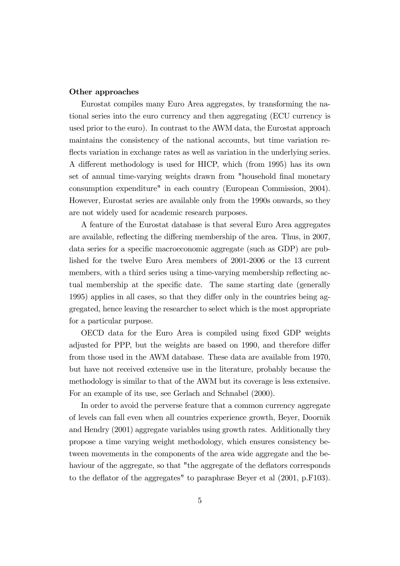#### Other approaches

Eurostat compiles many Euro Area aggregates, by transforming the national series into the euro currency and then aggregating (ECU currency is used prior to the euro). In contrast to the AWM data, the Eurostat approach maintains the consistency of the national accounts, but time variation reflects variation in exchange rates as well as variation in the underlying series. A different methodology is used for HICP, which (from 1995) has its own set of annual time-varying weights drawn from "household final monetary consumption expenditure" in each country (European Commission, 2004). However, Eurostat series are available only from the 1990s onwards, so they are not widely used for academic research purposes.

A feature of the Eurostat database is that several Euro Area aggregates are available, reflecting the differing membership of the area. Thus, in 2007, data series for a specific macroeconomic aggregate (such as GDP) are published for the twelve Euro Area members of 2001-2006 or the 13 current members, with a third series using a time-varying membership reflecting actual membership at the specific date. The same starting date (generally 1995) applies in all cases, so that they differ only in the countries being aggregated, hence leaving the researcher to select which is the most appropriate for a particular purpose.

OECD data for the Euro Area is compiled using fixed GDP weights adjusted for PPP, but the weights are based on 1990, and therefore differ from those used in the AWM database. These data are available from 1970, but have not received extensive use in the literature, probably because the methodology is similar to that of the AWM but its coverage is less extensive. For an example of its use, see Gerlach and Schnabel (2000).

In order to avoid the perverse feature that a common currency aggregate of levels can fall even when all countries experience growth, Beyer, Doornik and Hendry (2001) aggregate variables using growth rates. Additionally they propose a time varying weight methodology, which ensures consistency between movements in the components of the area wide aggregate and the behaviour of the aggregate, so that "the aggregate of the deflators corresponds to the deflator of the aggregates" to paraphrase Beyer et al (2001, p.F103).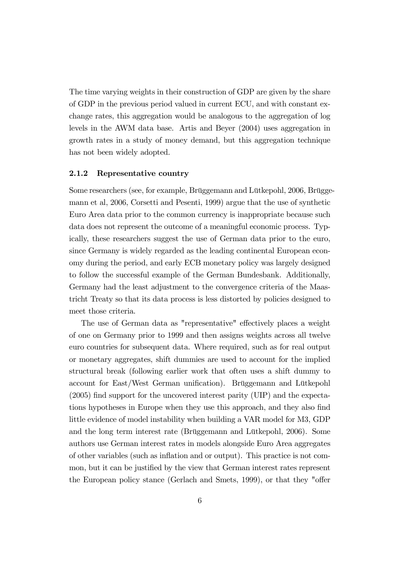The time varying weights in their construction of GDP are given by the share of GDP in the previous period valued in current ECU, and with constant exchange rates, this aggregation would be analogous to the aggregation of log levels in the AWM data base. Artis and Beyer (2004) uses aggregation in growth rates in a study of money demand, but this aggregation technique has not been widely adopted.

#### 2.1.2 Representative country

Some researchers (see, for example, Brüggemann and Lütkepohl, 2006, Brüggemann et al, 2006, Corsetti and Pesenti, 1999) argue that the use of synthetic Euro Area data prior to the common currency is inappropriate because such data does not represent the outcome of a meaningful economic process. Typically, these researchers suggest the use of German data prior to the euro, since Germany is widely regarded as the leading continental European economy during the period, and early ECB monetary policy was largely designed to follow the successful example of the German Bundesbank. Additionally, Germany had the least adjustment to the convergence criteria of the Maastricht Treaty so that its data process is less distorted by policies designed to meet those criteria.

The use of German data as "representative" effectively places a weight of one on Germany prior to 1999 and then assigns weights across all twelve euro countries for subsequent data. Where required, such as for real output or monetary aggregates, shift dummies are used to account for the implied structural break (following earlier work that often uses a shift dummy to account for East/West German unification). Brüggemann and Lütkepohl (2005) find support for the uncovered interest parity (UIP) and the expectations hypotheses in Europe when they use this approach, and they also find little evidence of model instability when building a VAR model for M3, GDP and the long term interest rate (Brüggemann and Lütkepohl, 2006). Some authors use German interest rates in models alongside Euro Area aggregates of other variables (such as inflation and or output). This practice is not common, but it can be justified by the view that German interest rates represent the European policy stance (Gerlach and Smets, 1999), or that they "offer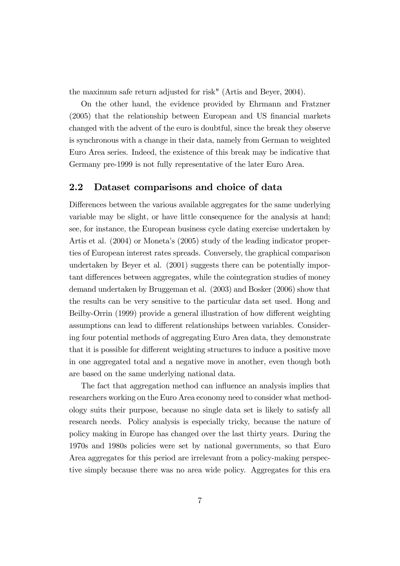the maximum safe return adjusted for risk" (Artis and Beyer, 2004).

On the other hand, the evidence provided by Ehrmann and Fratzner (2005) that the relationship between European and US financial markets changed with the advent of the euro is doubtful, since the break they observe is synchronous with a change in their data, namely from German to weighted Euro Area series. Indeed, the existence of this break may be indicative that Germany pre-1999 is not fully representative of the later Euro Area.

### 2.2 Dataset comparisons and choice of data

Differences between the various available aggregates for the same underlying variable may be slight, or have little consequence for the analysis at hand; see, for instance, the European business cycle dating exercise undertaken by Artis et al. (2004) or Moneta's (2005) study of the leading indicator properties of European interest rates spreads. Conversely, the graphical comparison undertaken by Beyer et al. (2001) suggests there can be potentially important differences between aggregates, while the cointegration studies of money demand undertaken by Bruggeman et al. (2003) and Bosker (2006) show that the results can be very sensitive to the particular data set used. Hong and Beilby-Orrin (1999) provide a general illustration of how different weighting assumptions can lead to different relationships between variables. Considering four potential methods of aggregating Euro Area data, they demonstrate that it is possible for different weighting structures to induce a positive move in one aggregated total and a negative move in another, even though both are based on the same underlying national data.

The fact that aggregation method can influence an analysis implies that researchers working on the Euro Area economy need to consider what methodology suits their purpose, because no single data set is likely to satisfy all research needs. Policy analysis is especially tricky, because the nature of policy making in Europe has changed over the last thirty years. During the 1970s and 1980s policies were set by national governments, so that Euro Area aggregates for this period are irrelevant from a policy-making perspective simply because there was no area wide policy. Aggregates for this era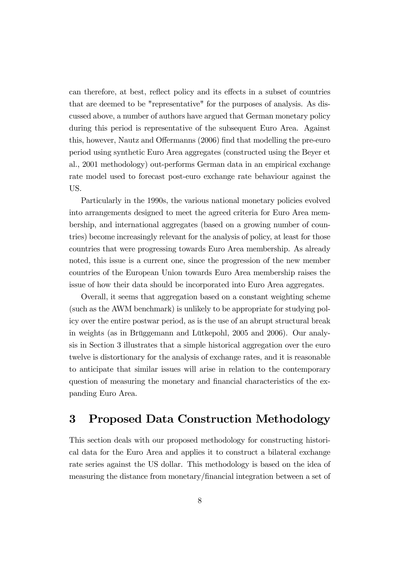can therefore, at best, reflect policy and its effects in a subset of countries that are deemed to be "representative" for the purposes of analysis. As discussed above, a number of authors have argued that German monetary policy during this period is representative of the subsequent Euro Area. Against this, however, Nautz and Offermanns (2006) find that modelling the pre-euro period using synthetic Euro Area aggregates (constructed using the Beyer et al., 2001 methodology) out-performs German data in an empirical exchange rate model used to forecast post-euro exchange rate behaviour against the US.

Particularly in the 1990s, the various national monetary policies evolved into arrangements designed to meet the agreed criteria for Euro Area membership, and international aggregates (based on a growing number of countries) become increasingly relevant for the analysis of policy, at least for those countries that were progressing towards Euro Area membership. As already noted, this issue is a current one, since the progression of the new member countries of the European Union towards Euro Area membership raises the issue of how their data should be incorporated into Euro Area aggregates.

Overall, it seems that aggregation based on a constant weighting scheme (such as the AWM benchmark) is unlikely to be appropriate for studying policy over the entire postwar period, as is the use of an abrupt structural break in weights (as in Brüggemann and Lütkepohl, 2005 and 2006). Our analysis in Section 3 illustrates that a simple historical aggregation over the euro twelve is distortionary for the analysis of exchange rates, and it is reasonable to anticipate that similar issues will arise in relation to the contemporary question of measuring the monetary and financial characteristics of the expanding Euro Area.

# 3 Proposed Data Construction Methodology

This section deals with our proposed methodology for constructing historical data for the Euro Area and applies it to construct a bilateral exchange rate series against the US dollar. This methodology is based on the idea of measuring the distance from monetary/financial integration between a set of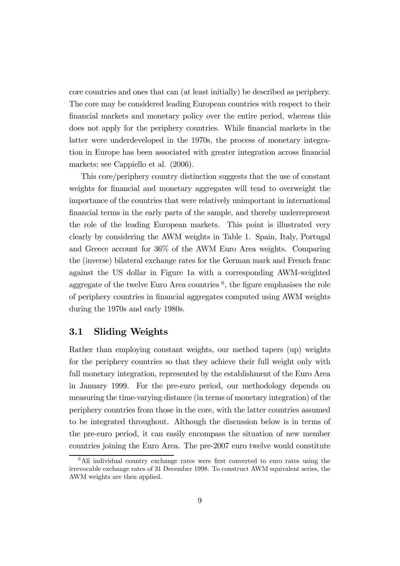core countries and ones that can (at least initially) be described as periphery. The core may be considered leading European countries with respect to their financial markets and monetary policy over the entire period, whereas this does not apply for the periphery countries. While financial markets in the latter were underdeveloped in the 1970s, the process of monetary integration in Europe has been associated with greater integration across financial markets; see Cappiello et al. (2006).

This core/periphery country distinction suggests that the use of constant weights for financial and monetary aggregates will tend to overweight the importance of the countries that were relatively unimportant in international financial terms in the early parts of the sample, and thereby underrepresent the role of the leading European markets. This point is illustrated very clearly by considering the AWM weights in Table 1. Spain, Italy, Portugal and Greece account for 36% of the AWM Euro Area weights. Comparing the (inverse) bilateral exchange rates for the German mark and French franc against the US dollar in Figure 1a with a corresponding AWM-weighted aggregate of the twelve Euro Area countries  $<sup>6</sup>$ , the figure emphasises the role</sup> of periphery countries in financial aggregates computed using AWM weights during the 1970s and early 1980s.

### 3.1 Sliding Weights

Rather than employing constant weights, our method tapers (up) weights for the periphery countries so that they achieve their full weight only with full monetary integration, represented by the establishment of the Euro Area in January 1999. For the pre-euro period, our methodology depends on measuring the time-varying distance (in terms of monetary integration) of the periphery countries from those in the core, with the latter countries assumed to be integrated throughout. Although the discussion below is in terms of the pre-euro period, it can easily encompass the situation of new member countries joining the Euro Area. The pre-2007 euro twelve would constitute

<sup>&</sup>lt;sup>6</sup>All individual country exchange rates were first converted to euro rates using the irrevocable exchange rates of 31 December 1998. To construct AWM equivalent series, the AWM weights are then applied.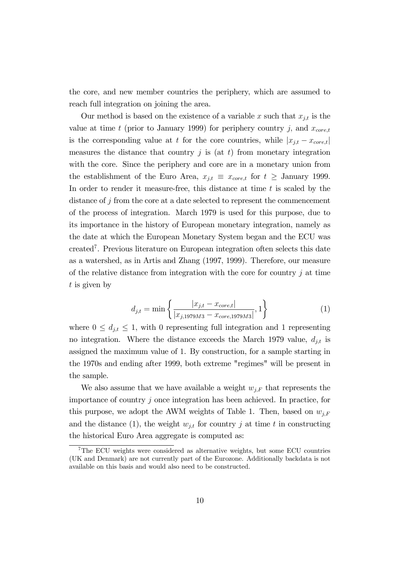the core, and new member countries the periphery, which are assumed to reach full integration on joining the area.

Our method is based on the existence of a variable x such that  $x_{j,t}$  is the value at time t (prior to January 1999) for periphery country j, and  $x_{core,t}$ is the corresponding value at t for the core countries, while  $|x_{j,t} - x_{core,t}|$ measures the distance that country  $j$  is (at  $t$ ) from monetary integration with the core. Since the periphery and core are in a monetary union from the establishment of the Euro Area,  $x_{j,t} \equiv x_{core,t}$  for  $t \geq$  January 1999. In order to render it measure-free, this distance at time  $t$  is scaled by the distance of j from the core at a date selected to represent the commencement of the process of integration. March 1979 is used for this purpose, due to its importance in the history of European monetary integration, namely as the date at which the European Monetary System began and the ECU was created<sup>7</sup> . Previous literature on European integration often selects this date as a watershed, as in Artis and Zhang (1997, 1999). Therefore, our measure of the relative distance from integration with the core for country  $\dot{\eta}$  at time  $t$  is given by

$$
d_{j,t} = \min\left\{\frac{|x_{j,t} - x_{core,t}|}{|x_{j,1979M3} - x_{core,1979M3}|}, 1\right\}
$$
(1)

where  $0 \leq d_{j,t} \leq 1$ , with 0 representing full integration and 1 representing no integration. Where the distance exceeds the March 1979 value,  $d_{j,t}$  is assigned the maximum value of 1. By construction, for a sample starting in the 1970s and ending after 1999, both extreme "regimes" will be present in the sample.

We also assume that we have available a weight  $w_{i,F}$  that represents the importance of country  $j$  once integration has been achieved. In practice, for this purpose, we adopt the AWM weights of Table 1. Then, based on  $w_{i,F}$ and the distance (1), the weight  $w_{j,t}$  for country j at time t in constructing the historical Euro Area aggregate is computed as:

<sup>7</sup>The ECU weights were considered as alternative weights, but some ECU countries (UK and Denmark) are not currently part of the Eurozone. Additionally backdata is not available on this basis and would also need to be constructed.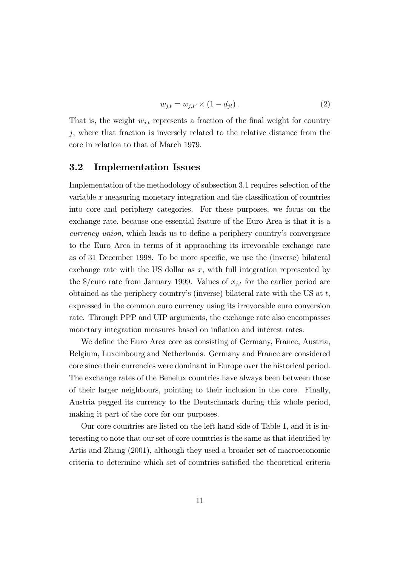$$
w_{j,t} = w_{j,F} \times (1 - d_{jt}).\tag{2}
$$

That is, the weight  $w_{j,t}$  represents a fraction of the final weight for country  $j$ , where that fraction is inversely related to the relative distance from the core in relation to that of March 1979.

#### 3.2 Implementation Issues

Implementation of the methodology of subsection 3.1 requires selection of the variable x measuring monetary integration and the classification of countries into core and periphery categories. For these purposes, we focus on the exchange rate, because one essential feature of the Euro Area is that it is a currency union, which leads us to define a periphery country's convergence to the Euro Area in terms of it approaching its irrevocable exchange rate as of 31 December 1998. To be more specific, we use the (inverse) bilateral exchange rate with the US dollar as  $x$ , with full integration represented by the  $\gamma$ /euro rate from January 1999. Values of  $x_{j,t}$  for the earlier period are obtained as the periphery country's (inverse) bilateral rate with the US at  $t$ , expressed in the common euro currency using its irrevocable euro conversion rate. Through PPP and UIP arguments, the exchange rate also encompasses monetary integration measures based on inflation and interest rates.

We define the Euro Area core as consisting of Germany, France, Austria, Belgium, Luxembourg and Netherlands. Germany and France are considered core since their currencies were dominant in Europe over the historical period. The exchange rates of the Benelux countries have always been between those of their larger neighbours, pointing to their inclusion in the core. Finally, Austria pegged its currency to the Deutschmark during this whole period, making it part of the core for our purposes.

Our core countries are listed on the left hand side of Table 1, and it is interesting to note that our set of core countries is the same as that identified by Artis and Zhang (2001), although they used a broader set of macroeconomic criteria to determine which set of countries satisfied the theoretical criteria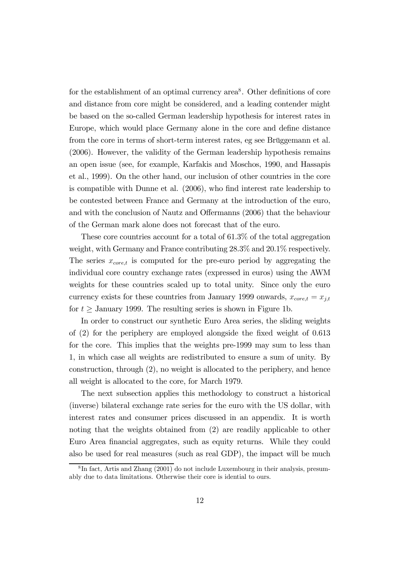for the establishment of an optimal currency area<sup>8</sup>. Other definitions of core and distance from core might be considered, and a leading contender might be based on the so-called German leadership hypothesis for interest rates in Europe, which would place Germany alone in the core and define distance from the core in terms of short-term interest rates, eg see Brüggemann et al. (2006). However, the validity of the German leadership hypothesis remains an open issue (see, for example, Karfakis and Moschos, 1990, and Hassapis et al., 1999). On the other hand, our inclusion of other countries in the core is compatible with Dunne et al. (2006), who find interest rate leadership to be contested between France and Germany at the introduction of the euro, and with the conclusion of Nautz and Offermanns (2006) that the behaviour of the German mark alone does not forecast that of the euro.

These core countries account for a total of 61.3% of the total aggregation weight, with Germany and France contributing 28.3% and 20.1% respectively. The series  $x_{core,t}$  is computed for the pre-euro period by aggregating the individual core country exchange rates (expressed in euros) using the AWM weights for these countries scaled up to total unity. Since only the euro currency exists for these countries from January 1999 onwards,  $x_{core,t} = x_{j,t}$ for  $t \geq$  January 1999. The resulting series is shown in Figure 1b.

In order to construct our synthetic Euro Area series, the sliding weights of (2) for the periphery are employed alongside the fixed weight of 0.613 for the core. This implies that the weights pre-1999 may sum to less than 1, in which case all weights are redistributed to ensure a sum of unity. By construction, through (2), no weight is allocated to the periphery, and hence all weight is allocated to the core, for March 1979.

The next subsection applies this methodology to construct a historical (inverse) bilateral exchange rate series for the euro with the US dollar, with interest rates and consumer prices discussed in an appendix. It is worth noting that the weights obtained from (2) are readily applicable to other Euro Area financial aggregates, such as equity returns. While they could also be used for real measures (such as real GDP), the impact will be much

<sup>8</sup> In fact, Artis and Zhang (2001) do not include Luxembourg in their analysis, presumably due to data limitations. Otherwise their core is idential to ours.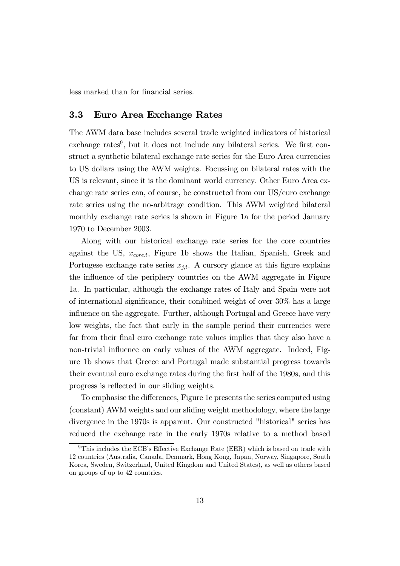less marked than for financial series.

#### 3.3 Euro Area Exchange Rates

The AWM data base includes several trade weighted indicators of historical exchange rates<sup>9</sup>, but it does not include any bilateral series. We first construct a synthetic bilateral exchange rate series for the Euro Area currencies to US dollars using the AWM weights. Focussing on bilateral rates with the US is relevant, since it is the dominant world currency. Other Euro Area exchange rate series can, of course, be constructed from our US/euro exchange rate series using the no-arbitrage condition. This AWM weighted bilateral monthly exchange rate series is shown in Figure 1a for the period January 1970 to December 2003.

Along with our historical exchange rate series for the core countries against the US,  $x_{core,t}$ , Figure 1b shows the Italian, Spanish, Greek and Portugese exchange rate series  $x_{j,t}$ . A cursory glance at this figure explains the influence of the periphery countries on the AWM aggregate in Figure 1a. In particular, although the exchange rates of Italy and Spain were not of international significance, their combined weight of over 30% has a large influence on the aggregate. Further, although Portugal and Greece have very low weights, the fact that early in the sample period their currencies were far from their final euro exchange rate values implies that they also have a non-trivial influence on early values of the AWM aggregate. Indeed, Figure 1b shows that Greece and Portugal made substantial progress towards their eventual euro exchange rates during the first half of the 1980s, and this progress is reflected in our sliding weights.

To emphasise the differences, Figure 1c presents the series computed using (constant) AWM weights and our sliding weight methodology, where the large divergence in the 1970s is apparent. Our constructed "historical" series has reduced the exchange rate in the early 1970s relative to a method based

 $9$ This includes the ECB's Effective Exchange Rate (EER) which is based on trade with 12 countries (Australia, Canada, Denmark, Hong Kong, Japan, Norway, Singapore, South Korea, Sweden, Switzerland, United Kingdom and United States), as well as others based on groups of up to 42 countries.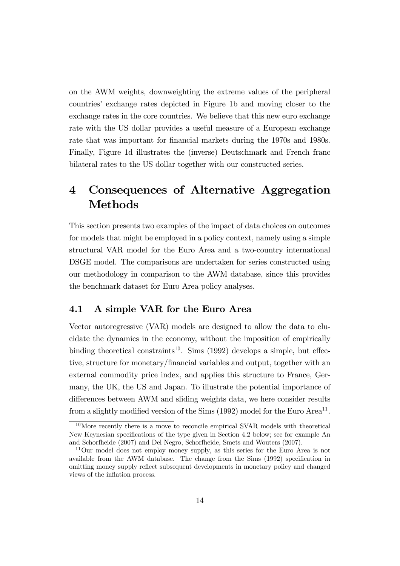on the AWM weights, downweighting the extreme values of the peripheral countries' exchange rates depicted in Figure 1b and moving closer to the exchange rates in the core countries. We believe that this new euro exchange rate with the US dollar provides a useful measure of a European exchange rate that was important for financial markets during the 1970s and 1980s. Finally, Figure 1d illustrates the (inverse) Deutschmark and French franc bilateral rates to the US dollar together with our constructed series.

# 4 Consequences of Alternative Aggregation Methods

This section presents two examples of the impact of data choices on outcomes for models that might be employed in a policy context, namely using a simple structural VAR model for the Euro Area and a two-country international DSGE model. The comparisons are undertaken for series constructed using our methodology in comparison to the AWM database, since this provides the benchmark dataset for Euro Area policy analyses.

### 4.1 A simple VAR for the Euro Area

Vector autoregressive (VAR) models are designed to allow the data to elucidate the dynamics in the economy, without the imposition of empirically binding theoretical constraints<sup>10</sup>. Sims  $(1992)$  develops a simple, but effective, structure for monetary/financial variables and output, together with an external commodity price index, and applies this structure to France, Germany, the UK, the US and Japan. To illustrate the potential importance of differences between AWM and sliding weights data, we here consider results from a slightly modified version of the Sims (1992) model for the Euro Area<sup>11</sup>.

 $10$ More recently there is a move to reconcile empirical SVAR models with theoretical New Keynesian specifications of the type given in Section 4.2 below; see for example An and Schorfheide (2007) and Del Negro, Schorfheide, Smets and Wouters (2007).

<sup>11</sup>Our model does not employ money supply, as this series for the Euro Area is not available from the AWM database. The change from the Sims (1992) specification in omitting money supply reflect subsequent developments in monetary policy and changed views of the inflation process.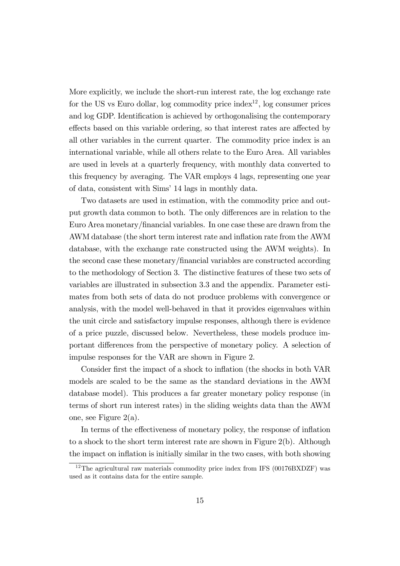More explicitly, we include the short-run interest rate, the log exchange rate for the US vs Euro dollar, log commodity price index<sup>12</sup>, log consumer prices and log GDP. Identification is achieved by orthogonalising the contemporary effects based on this variable ordering, so that interest rates are affected by all other variables in the current quarter. The commodity price index is an international variable, while all others relate to the Euro Area. All variables are used in levels at a quarterly frequency, with monthly data converted to this frequency by averaging. The VAR employs 4 lags, representing one year of data, consistent with Sims' 14 lags in monthly data.

Two datasets are used in estimation, with the commodity price and output growth data common to both. The only differences are in relation to the Euro Area monetary/financial variables. In one case these are drawn from the AWM database (the short term interest rate and inflation rate from the AWM database, with the exchange rate constructed using the AWM weights). In the second case these monetary/financial variables are constructed according to the methodology of Section 3. The distinctive features of these two sets of variables are illustrated in subsection 3.3 and the appendix. Parameter estimates from both sets of data do not produce problems with convergence or analysis, with the model well-behaved in that it provides eigenvalues within the unit circle and satisfactory impulse responses, although there is evidence of a price puzzle, discussed below. Nevertheless, these models produce important differences from the perspective of monetary policy. A selection of impulse responses for the VAR are shown in Figure 2.

Consider first the impact of a shock to inflation (the shocks in both VAR models are scaled to be the same as the standard deviations in the AWM database model). This produces a far greater monetary policy response (in terms of short run interest rates) in the sliding weights data than the AWM one, see Figure 2(a).

In terms of the effectiveness of monetary policy, the response of inflation to a shock to the short term interest rate are shown in Figure 2(b). Although the impact on inflation is initially similar in the two cases, with both showing

<sup>&</sup>lt;sup>12</sup>The agricultural raw materials commodity price index from IFS  $(00176BXDZF)$  was used as it contains data for the entire sample.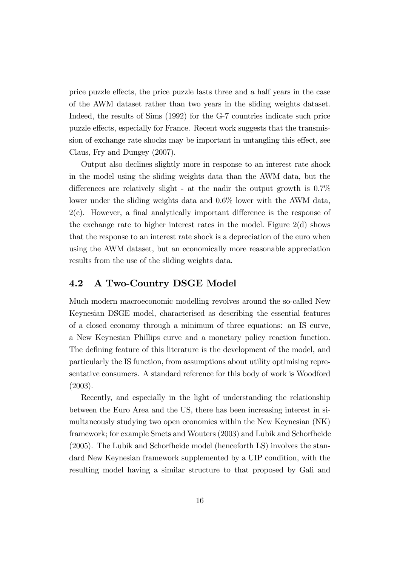price puzzle effects, the price puzzle lasts three and a half years in the case of the AWM dataset rather than two years in the sliding weights dataset. Indeed, the results of Sims (1992) for the G-7 countries indicate such price puzzle effects, especially for France. Recent work suggests that the transmission of exchange rate shocks may be important in untangling this effect, see Claus, Fry and Dungey (2007).

Output also declines slightly more in response to an interest rate shock in the model using the sliding weights data than the AWM data, but the differences are relatively slight - at the nadir the output growth is 0.7% lower under the sliding weights data and 0.6% lower with the AWM data, 2(c). However, a final analytically important difference is the response of the exchange rate to higher interest rates in the model. Figure  $2(d)$  shows that the response to an interest rate shock is a depreciation of the euro when using the AWM dataset, but an economically more reasonable appreciation results from the use of the sliding weights data.

#### 4.2 A Two-Country DSGE Model

Much modern macroeconomic modelling revolves around the so-called New Keynesian DSGE model, characterised as describing the essential features of a closed economy through a minimum of three equations: an IS curve, a New Keynesian Phillips curve and a monetary policy reaction function. The defining feature of this literature is the development of the model, and particularly the IS function, from assumptions about utility optimising representative consumers. A standard reference for this body of work is Woodford (2003).

Recently, and especially in the light of understanding the relationship between the Euro Area and the US, there has been increasing interest in simultaneously studying two open economies within the New Keynesian (NK) framework; for example Smets and Wouters (2003) and Lubik and Schorfheide (2005). The Lubik and Schorfheide model (henceforth LS) involves the standard New Keynesian framework supplemented by a UIP condition, with the resulting model having a similar structure to that proposed by Gali and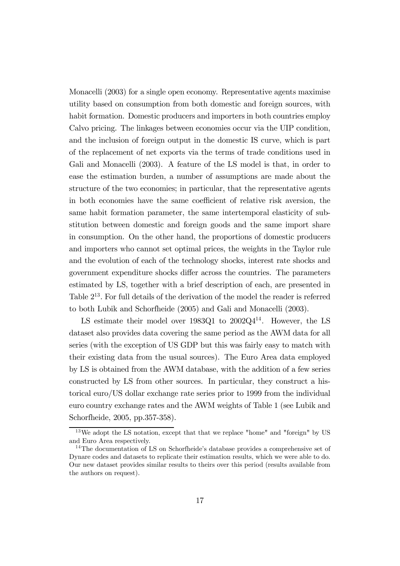Monacelli (2003) for a single open economy. Representative agents maximise utility based on consumption from both domestic and foreign sources, with habit formation. Domestic producers and importers in both countries employ Calvo pricing. The linkages between economies occur via the UIP condition, and the inclusion of foreign output in the domestic IS curve, which is part of the replacement of net exports via the terms of trade conditions used in Gali and Monacelli (2003). A feature of the LS model is that, in order to ease the estimation burden, a number of assumptions are made about the structure of the two economies; in particular, that the representative agents in both economies have the same coefficient of relative risk aversion, the same habit formation parameter, the same intertemporal elasticity of substitution between domestic and foreign goods and the same import share in consumption. On the other hand, the proportions of domestic producers and importers who cannot set optimal prices, the weights in the Taylor rule and the evolution of each of the technology shocks, interest rate shocks and government expenditure shocks differ across the countries. The parameters estimated by LS, together with a brief description of each, are presented in Table  $2^{13}$ . For full details of the derivation of the model the reader is referred to both Lubik and Schorfheide (2005) and Gali and Monacelli (2003).

LS estimate their model over  $1983Q1$  to  $2002Q4^{14}$ . However, the LS dataset also provides data covering the same period as the AWM data for all series (with the exception of US GDP but this was fairly easy to match with their existing data from the usual sources). The Euro Area data employed by LS is obtained from the AWM database, with the addition of a few series constructed by LS from other sources. In particular, they construct a historical euro/US dollar exchange rate series prior to 1999 from the individual euro country exchange rates and the AWM weights of Table 1 (see Lubik and Schorfheide, 2005, pp.357-358).

<sup>13</sup>We adopt the LS notation, except that that we replace "home" and "foreign" by US and Euro Area respectively.

<sup>14</sup>The documentation of LS on Schorfheide's database provides a comprehensive set of Dynare codes and datasets to replicate their estimation results, which we were able to do. Our new dataset provides similar results to theirs over this period (results available from the authors on request).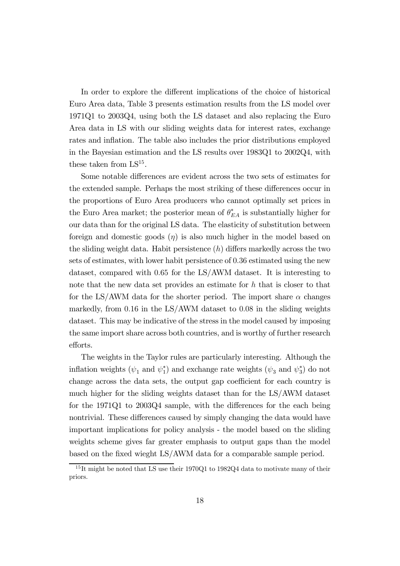In order to explore the different implications of the choice of historical Euro Area data, Table 3 presents estimation results from the LS model over 1971Q1 to 2003Q4, using both the LS dataset and also replacing the Euro Area data in LS with our sliding weights data for interest rates, exchange rates and inflation. The table also includes the prior distributions employed in the Bayesian estimation and the LS results over 1983Q1 to 2002Q4, with these taken from  $LS^{15}$ .

Some notable differences are evident across the two sets of estimates for the extended sample. Perhaps the most striking of these differences occur in the proportions of Euro Area producers who cannot optimally set prices in the Euro Area market; the posterior mean of  $\theta_{EA}^*$  is substantially higher for our data than for the original LS data. The elasticity of substitution between foreign and domestic goods  $(\eta)$  is also much higher in the model based on the sliding weight data. Habit persistence  $(h)$  differs markedly across the two sets of estimates, with lower habit persistence of 0.36 estimated using the new dataset, compared with 0.65 for the LS/AWM dataset. It is interesting to note that the new data set provides an estimate for h that is closer to that for the LS/AWM data for the shorter period. The import share  $\alpha$  changes markedly, from 0.16 in the LS/AWM dataset to 0.08 in the sliding weights dataset. This may be indicative of the stress in the model caused by imposing the same import share across both countries, and is worthy of further research efforts.

The weights in the Taylor rules are particularly interesting. Although the inflation weights  $(\psi_1 \text{ and } \psi_1^*)$ <sup>\*</sup><sub>1</sub>) and exchange rate weights  $(\psi_3 \text{ and } \psi_3^*)$ 3 ) do not change across the data sets, the output gap coefficient for each country is much higher for the sliding weights dataset than for the LS/AWM dataset for the 1971Q1 to 2003Q4 sample, with the differences for the each being nontrivial. These differences caused by simply changing the data would have important implications for policy analysis - the model based on the sliding weights scheme gives far greater emphasis to output gaps than the model based on the fixed wieght LS/AWM data for a comparable sample period.

<sup>15</sup> It might be noted that LS use their 1970Q1 to 1982Q4 data to motivate many of their priors.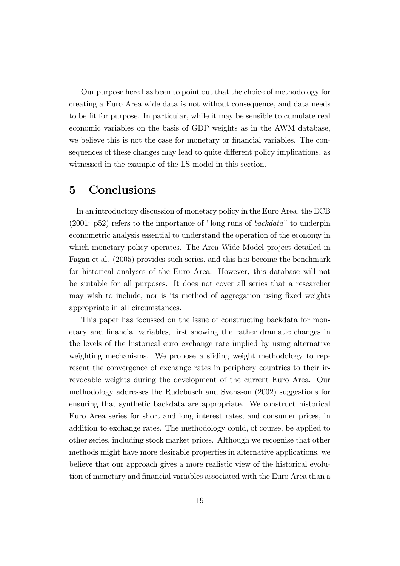Our purpose here has been to point out that the choice of methodology for creating a Euro Area wide data is not without consequence, and data needs to be fit for purpose. In particular, while it may be sensible to cumulate real economic variables on the basis of GDP weights as in the AWM database, we believe this is not the case for monetary or financial variables. The consequences of these changes may lead to quite different policy implications, as witnessed in the example of the LS model in this section.

## 5 Conclusions

In an introductory discussion of monetary policy in the Euro Area, the ECB (2001: p52) refers to the importance of "long runs of backdata" to underpin econometric analysis essential to understand the operation of the economy in which monetary policy operates. The Area Wide Model project detailed in Fagan et al. (2005) provides such series, and this has become the benchmark for historical analyses of the Euro Area. However, this database will not be suitable for all purposes. It does not cover all series that a researcher may wish to include, nor is its method of aggregation using fixed weights appropriate in all circumstances.

This paper has focussed on the issue of constructing backdata for monetary and financial variables, first showing the rather dramatic changes in the levels of the historical euro exchange rate implied by using alternative weighting mechanisms. We propose a sliding weight methodology to represent the convergence of exchange rates in periphery countries to their irrevocable weights during the development of the current Euro Area. Our methodology addresses the Rudebusch and Svensson (2002) suggestions for ensuring that synthetic backdata are appropriate. We construct historical Euro Area series for short and long interest rates, and consumer prices, in addition to exchange rates. The methodology could, of course, be applied to other series, including stock market prices. Although we recognise that other methods might have more desirable properties in alternative applications, we believe that our approach gives a more realistic view of the historical evolution of monetary and financial variables associated with the Euro Area than a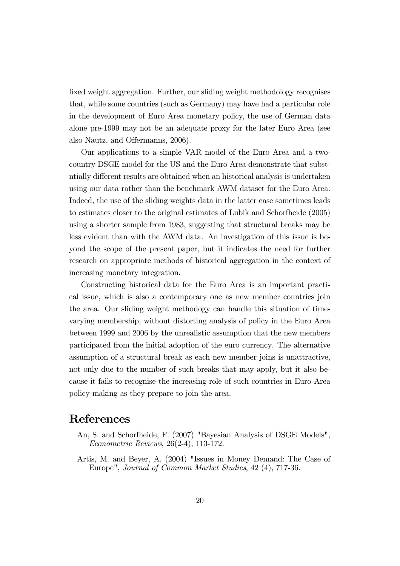fixed weight aggregation. Further, our sliding weight methodology recognises that, while some countries (such as Germany) may have had a particular role in the development of Euro Area monetary policy, the use of German data alone pre-1999 may not be an adequate proxy for the later Euro Area (see also Nautz, and Offermanns, 2006).

Our applications to a simple VAR model of the Euro Area and a twocountry DSGE model for the US and the Euro Area demonstrate that substntially different results are obtained when an historical analysis is undertaken using our data rather than the benchmark AWM dataset for the Euro Area. Indeed, the use of the sliding weights data in the latter case sometimes leads to estimates closer to the original estimates of Lubik and Schorfheide (2005) using a shorter sample from 1983, suggesting that structural breaks may be less evident than with the AWM data. An investigation of this issue is beyond the scope of the present paper, but it indicates the need for further research on appropriate methods of historical aggregation in the context of increasing monetary integration.

Constructing historical data for the Euro Area is an important practical issue, which is also a contemporary one as new member countries join the area. Our sliding weight methodogy can handle this situation of timevarying membership, without distorting analysis of policy in the Euro Area between 1999 and 2006 by the unrealistic assumption that the new members participated from the initial adoption of the euro currency. The alternative assumption of a structural break as each new member joins is unattractive, not only due to the number of such breaks that may apply, but it also because it fails to recognise the increasing role of such countries in Euro Area policy-making as they prepare to join the area.

# References

- An, S. and Schorfheide, F. (2007) "Bayesian Analysis of DSGE Models", Econometric Reviews, 26(2-4), 113-172.
- Artis, M. and Beyer, A. (2004) "Issues in Money Demand: The Case of Europe", Journal of Common Market Studies, 42 (4), 717-36.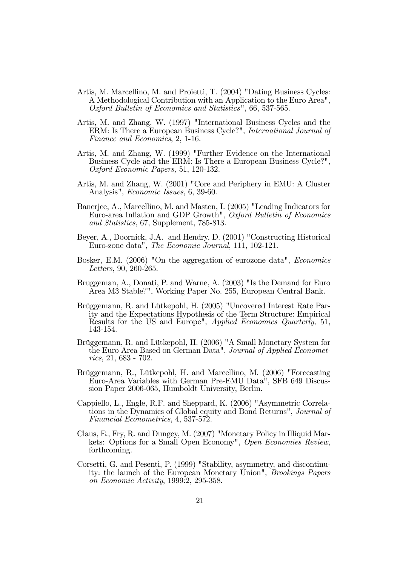- Artis, M. Marcellino, M. and Proietti, T. (2004) "Dating Business Cycles: A Methodological Contribution with an Application to the Euro Area", Oxford Bulletin of Economics and Statistics", 66, 537-565.
- Artis, M. and Zhang, W. (1997) "International Business Cycles and the ERM: Is There a European Business Cycle?", International Journal of Finance and Economics, 2, 1-16.
- Artis, M. and Zhang, W. (1999) "Further Evidence on the International Business Cycle and the ERM: Is There a European Business Cycle?", Oxford Economic Papers, 51, 120-132.
- Artis, M. and Zhang, W. (2001) "Core and Periphery in EMU: A Cluster Analysis", Economic Issues, 6, 39-60.
- Banerjee, A., Marcellino, M. and Masten, I. (2005) "Leading Indicators for Euro-area Inflation and GDP Growth", Oxford Bulletin of Economics and Statistics, 67, Supplement, 785-813.
- Beyer, A., Doornick, J.A. and Hendry, D. (2001) "Constructing Historical Euro-zone data", The Economic Journal, 111, 102-121.
- Bosker, E.M. (2006) "On the aggregation of eurozone data", Economics Letters, 90, 260-265.
- Bruggeman, A., Donati, P. and Warne, A. (2003) "Is the Demand for Euro Area M3 Stable?", Working Paper No. 255, European Central Bank.
- Brüggemann, R. and Lütkepohl, H. (2005) "Uncovered Interest Rate Parity and the Expectations Hypothesis of the Term Structure: Empirical Results for the US and Europe", Applied Economics Quarterly, 51, 143-154.
- Brüggemann, R. and Lütkepohl, H. (2006) "A Small Monetary System for the Euro Area Based on German Data", Journal of Applied Econometrics, 21, 683 - 702.
- Brüggemann, R., Lütkepohl, H. and Marcellino, M. (2006) "Forecasting Euro-Area Variables with German Pre-EMU Data", SFB 649 Discussion Paper 2006-065, Humboldt University, Berlin.
- Cappiello, L., Engle, R.F. and Sheppard, K. (2006) "Asymmetric Correlations in the Dynamics of Global equity and Bond Returns", Journal of Financial Econometrics, 4, 537-572.
- Claus, E., Fry, R. and Dungey, M. (2007) "Monetary Policy in Illiquid Markets: Options for a Small Open Economy", Open Economies Review, forthcoming.
- Corsetti, G. and Pesenti, P. (1999) "Stability, asymmetry, and discontinuity: the launch of the European Monetary Union", Brookings Papers on Economic Activity, 1999:2, 295-358.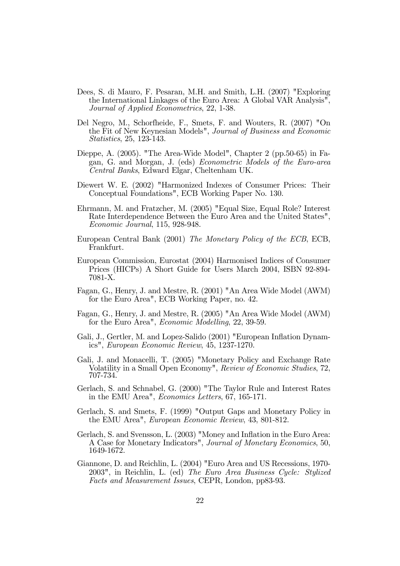- Dees, S. di Mauro, F. Pesaran, M.H. and Smith, L.H. (2007) "Exploring the International Linkages of the Euro Area: A Global VAR Analysis", Journal of Applied Econometrics, 22, 1-38.
- Del Negro, M., Schorfheide, F., Smets, F. and Wouters, R. (2007) "On the Fit of New Keynesian Models", Journal of Business and Economic Statistics, 25, 123-143.
- Dieppe, A. (2005). "The Area-Wide Model", Chapter 2 (pp.50-65) in Fagan, G. and Morgan, J. (eds) Econometric Models of the Euro-area Central Banks, Edward Elgar, Cheltenham UK.
- Diewert W. E. (2002) "Harmonized Indexes of Consumer Prices: Their Conceptual Foundations", ECB Working Paper No. 130.
- Ehrmann, M. and Fratzcher, M. (2005) "Equal Size, Equal Role? Interest Rate Interdependence Between the Euro Area and the United States", Economic Journal, 115, 928-948.
- European Central Bank (2001) The Monetary Policy of the ECB, ECB, Frankfurt.
- European Commission, Eurostat (2004) Harmonised Indices of Consumer Prices (HICPs) A Short Guide for Users March 2004, ISBN 92-894- 7081-X.
- Fagan, G., Henry, J. and Mestre, R. (2001) "An Area Wide Model (AWM) for the Euro Area", ECB Working Paper, no. 42.
- Fagan, G., Henry, J. and Mestre, R. (2005) "An Area Wide Model (AWM) for the Euro Area", Economic Modelling, 22, 39-59.
- Gali, J., Gertler, M. and Lopez-Salido (2001) "European Inflation Dynamics", European Economic Review, 45, 1237-1270.
- Gali, J. and Monacelli, T. (2005) "Monetary Policy and Exchange Rate Volatility in a Small Open Economy", Review of Economic Studies, 72, 707-734.
- Gerlach, S. and Schnabel, G. (2000) "The Taylor Rule and Interest Rates in the EMU Area", Economics Letters, 67, 165-171.
- Gerlach, S. and Smets, F. (1999) "Output Gaps and Monetary Policy in the EMU Area", European Economic Review, 43, 801-812.
- Gerlach, S. and Svensson, L. (2003) "Money and Inflation in the Euro Area: A Case for Monetary Indicators", Journal of Monetary Economics, 50, 1649-1672.
- Giannone, D. and Reichlin, L. (2004) "Euro Area and US Recessions, 1970- 2003", in Reichlin, L. (ed) The Euro Area Business Cycle: Stylized Facts and Measurement Issues, CEPR, London, pp83-93.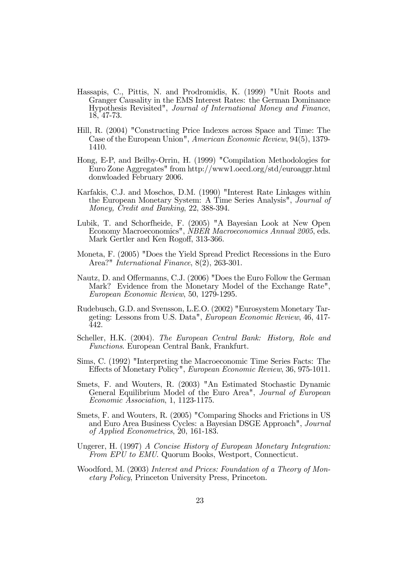- Hassapis, C., Pittis, N. and Prodromidis, K. (1999) "Unit Roots and Granger Causality in the EMS Interest Rates: the German Dominance Hypothesis Revisited", Journal of International Money and Finance, 18, 47-73.
- Hill, R. (2004) "Constructing Price Indexes across Space and Time: The Case of the European Union", American Economic Review, 94(5), 1379- 1410.
- Hong, E-P, and Beilby-Orrin, H. (1999) "Compilation Methodologies for Euro Zone Aggregates" from http://www1.oecd.org/std/euroaggr.html donwloaded February 2006.
- Karfakis, C.J. and Moschos, D.M. (1990) "Interest Rate Linkages within the European Monetary System: A Time Series Analysis", Journal of Money, Credit and Banking, 22, 388-394.
- Lubik, T. and Schorfheide, F. (2005) "A Bayesian Look at New Open Economy Macroeconomics", NBER Macroeconomics Annual 2005, eds. Mark Gertler and Ken Rogoff, 313-366.
- Moneta, F. (2005) "Does the Yield Spread Predict Recessions in the Euro Area?" International Finance, 8(2), 263-301.
- Nautz, D. and Offermanns, C.J. (2006) "Does the Euro Follow the German Mark? Evidence from the Monetary Model of the Exchange Rate", European Economic Review, 50, 1279-1295.
- Rudebusch, G.D. and Svensson, L.E.O. (2002) "Eurosystem Monetary Targeting: Lessons from U.S. Data", European Economic Review, 46, 417- 442.
- Scheller, H.K. (2004). The European Central Bank: History, Role and Functions. European Central Bank, Frankfurt.
- Sims, C. (1992) "Interpreting the Macroeconomic Time Series Facts: The Effects of Monetary Policy", European Economic Review, 36, 975-1011.
- Smets, F. and Wouters, R. (2003) "An Estimated Stochastic Dynamic General Equilibrium Model of the Euro Area", Journal of European Economic Association, 1, 1123-1175.
- Smets, F. and Wouters, R. (2005) "Comparing Shocks and Frictions in US and Euro Area Business Cycles: a Bayesian DSGE Approach", Journal of Applied Econometrics, 20, 161-183.
- Ungerer, H. (1997) A Concise History of European Monetary Integration: From EPU to EMU. Quorum Books, Westport, Connecticut.
- Woodford, M. (2003) Interest and Prices: Foundation of a Theory of Monetary Policy, Princeton University Press, Princeton.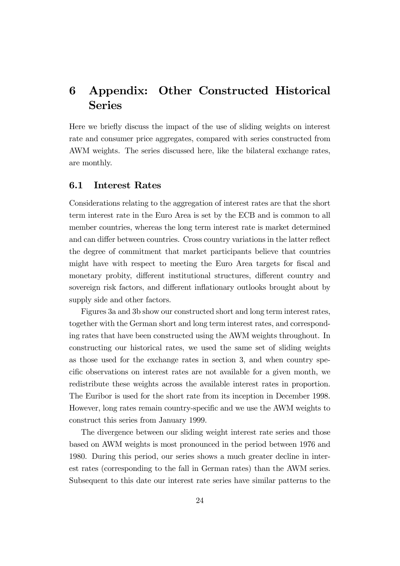# 6 Appendix: Other Constructed Historical Series

Here we briefly discuss the impact of the use of sliding weights on interest rate and consumer price aggregates, compared with series constructed from AWM weights. The series discussed here, like the bilateral exchange rates, are monthly.

### 6.1 Interest Rates

Considerations relating to the aggregation of interest rates are that the short term interest rate in the Euro Area is set by the ECB and is common to all member countries, whereas the long term interest rate is market determined and can differ between countries. Cross country variations in the latter reflect the degree of commitment that market participants believe that countries might have with respect to meeting the Euro Area targets for fiscal and monetary probity, different institutional structures, different country and sovereign risk factors, and different inflationary outlooks brought about by supply side and other factors.

Figures 3a and 3b show our constructed short and long term interest rates, together with the German short and long term interest rates, and corresponding rates that have been constructed using the AWM weights throughout. In constructing our historical rates, we used the same set of sliding weights as those used for the exchange rates in section 3, and when country specific observations on interest rates are not available for a given month, we redistribute these weights across the available interest rates in proportion. The Euribor is used for the short rate from its inception in December 1998. However, long rates remain country-specific and we use the AWM weights to construct this series from January 1999.

The divergence between our sliding weight interest rate series and those based on AWM weights is most pronounced in the period between 1976 and 1980. During this period, our series shows a much greater decline in interest rates (corresponding to the fall in German rates) than the AWM series. Subsequent to this date our interest rate series have similar patterns to the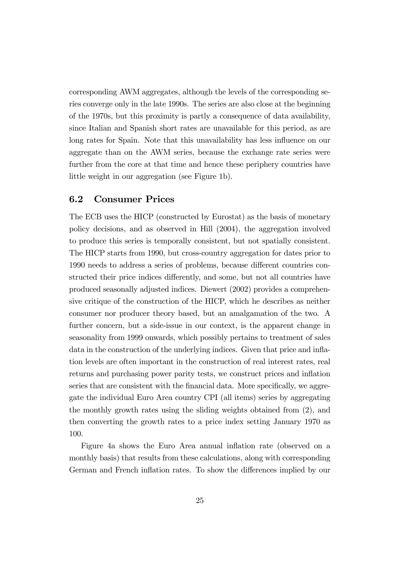corresponding AWM aggregates, although the levels of the corresponding series converge only in the late 1990s. The series are also close at the beginning of the 1970s, but this proximity is partly a consequence of data availability, since Italian and Spanish short rates are unavailable for this period, as are long rates for Spain. Note that this unavailability has less influence on our aggregate than on the AWM series, because the exchange rate series were further from the core at that time and hence these periphery countries have little weight in our aggregation (see Figure 1b).

#### 6.2 Consumer Prices

The ECB uses the HICP (constructed by Eurostat) as the basis of monetary policy decisions, and as observed in Hill (2004), the aggregation involved to produce this series is temporally consistent, but not spatially consistent. The HICP starts from 1990, but cross-country aggregation for dates prior to 1990 needs to address a series of problems, because different countries constructed their price indices differently, and some, but not all countries have produced seasonally adjusted indices. Diewert (2002) provides a comprehensive critique of the construction of the HICP, which he describes as neither consumer nor producer theory based, but an amalgamation of the two. A further concern, but a side-issue in our context, is the apparent change in seasonality from 1999 onwards, which possibly pertains to treatment of sales data in the construction of the underlying indices. Given that price and inflation levels are often important in the construction of real interest rates, real returns and purchasing power parity tests, we construct prices and inflation series that are consistent with the financial data. More specifically, we aggregate the individual Euro Area country CPI (all items) series by aggregating the monthly growth rates using the sliding weights obtained from (2), and then converting the growth rates to a price index setting January 1970 as 100.

Figure 4a shows the Euro Area annual inflation rate (observed on a monthly basis) that results from these calculations, along with corresponding German and French inflation rates. To show the differences implied by our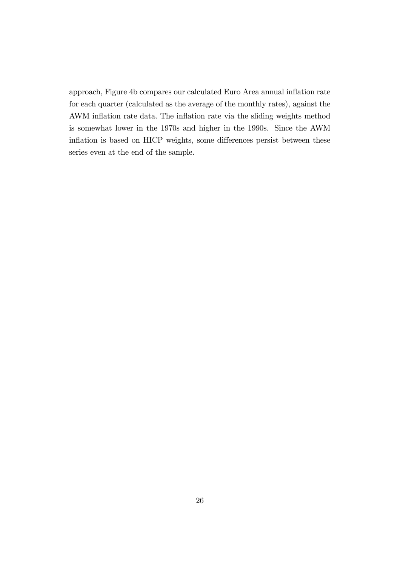approach, Figure 4b compares our calculated Euro Area annual inflation rate for each quarter (calculated as the average of the monthly rates), against the AWM inflation rate data. The inflation rate via the sliding weights method is somewhat lower in the 1970s and higher in the 1990s. Since the AWM inflation is based on HICP weights, some differences persist between these series even at the end of the sample.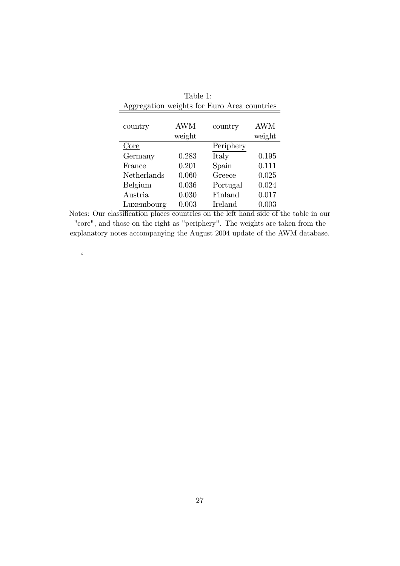| Table 1:                                    |        |           |            |  |  |  |  |  |  |
|---------------------------------------------|--------|-----------|------------|--|--|--|--|--|--|
| Aggregation weights for Euro Area countries |        |           |            |  |  |  |  |  |  |
|                                             |        |           |            |  |  |  |  |  |  |
| country                                     | AWM    | country   | <b>AWM</b> |  |  |  |  |  |  |
|                                             | weight |           | weight     |  |  |  |  |  |  |
| Core                                        |        | Periphery |            |  |  |  |  |  |  |
| Germany                                     | 0.283  | Italy     | 0.195      |  |  |  |  |  |  |
| France                                      | 0.201  | Spain     | 0.111      |  |  |  |  |  |  |
| Netherlands                                 | 0.060  | Greece    | 0.025      |  |  |  |  |  |  |
| Belgium                                     | 0.036  | Portugal  | 0.024      |  |  |  |  |  |  |
| Austria                                     | 0.030  | Finland   | 0.017      |  |  |  |  |  |  |
| Luxembourg                                  | 0.003  | Ireland   | 0.003      |  |  |  |  |  |  |

Notes: Our classification places countries on the left hand side of the table in our "core", and those on the right as "periphery". The weights are taken from the explanatory notes accompanying the August 2004 update of the AWM database.

 $\zeta$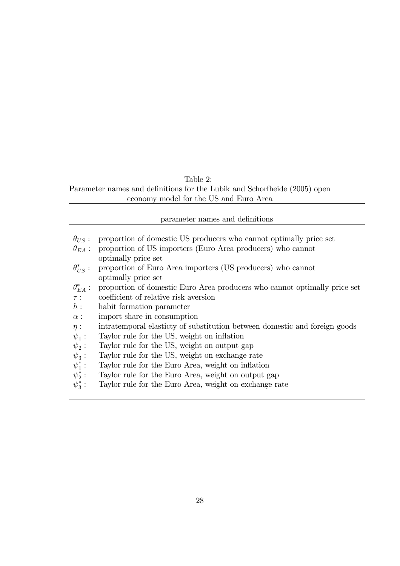## Table 2:

Parameter names and definitions for the Lubik and Schorfheide (2005) open economy model for the US and Euro Area

| proportion of domestic US producers who cannot optimally price set<br>$\theta_{IIS}$ :         |  |
|------------------------------------------------------------------------------------------------|--|
|                                                                                                |  |
|                                                                                                |  |
| proportion of US importers (Euro Area producers) who cannot<br>$\theta_{EA}$ :                 |  |
| optimally price set                                                                            |  |
| $\theta^*_{IIS}$ :<br>proportion of Euro Area importers (US producers) who cannot              |  |
| optimally price set                                                                            |  |
| $\theta_{EA}^*$ :<br>proportion of domestic Euro Area producers who cannot optimally price set |  |
| coefficient of relative risk aversion<br>$\tau$ :                                              |  |
| $h$ :<br>habit formation parameter                                                             |  |
| import share in consumption<br>$\alpha$ :                                                      |  |
| intratemporal elasticty of substitution between domestic and foreign goods<br>$\eta$ :         |  |
| Taylor rule for the US, weight on inflation<br>$\psi_1$ :                                      |  |
| $\psi_2$ :<br>Taylor rule for the US, weight on output gap                                     |  |
| $\psi_3$ :<br>Taylor rule for the US, weight on exchange rate                                  |  |
| $\psi_1^*$ :<br>Taylor rule for the Euro Area, weight on inflation                             |  |
| $\psi_2^*$ :<br>Taylor rule for the Euro Area, weight on output gap                            |  |
| $\psi_3^*$ :<br>Taylor rule for the Euro Area, weight on exchange rate                         |  |
|                                                                                                |  |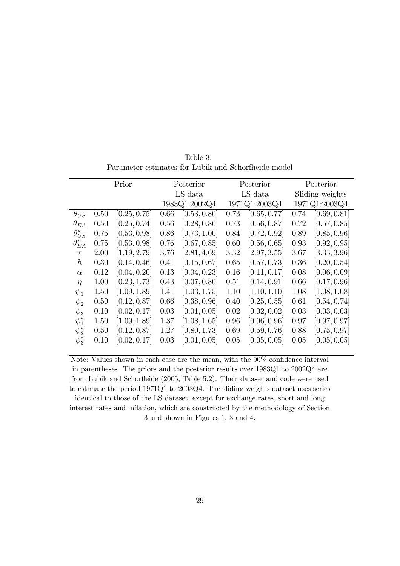Table 3: Parameter estimates for Lubik and Schorfheide model

|                 | Prior |                           | Posterior |                           | Posterior     |              | Posterior       |              |
|-----------------|-------|---------------------------|-----------|---------------------------|---------------|--------------|-----------------|--------------|
|                 |       |                           |           | LS data                   |               | LS data      | Sliding weights |              |
|                 |       |                           |           | 1983Q1:2002Q4             | 1971Q1:2003Q4 |              | 1971Q1:2003Q4   |              |
| $\theta_{US}$   | 0.50  | [0.25, 0.75]              | 0.66      | [0.53, 0.80]              | 0.73          | [0.65, 0.77] | 0.74            | [0.69, 0.81] |
| $\theta_{EA}$   | 0.50  | $\left[0.25,0.74\right]$  | 0.56      | [0.28, 0.86]              | 0.73          | [0.56, 0.87] | 0.72            | [0.57, 0.85] |
| $\theta_{US}^*$ | 0.75  | $\left[0.53, 0.98\right]$ | 0.86      | [0.73, 1.00]              | 0.84          | [0.72, 0.92] | 0.89            | [0.85, 0.96] |
| $\theta_{EA}^*$ | 0.75  | [0.53, 0.98]              | 0.76      | [0.67, 0.85]              | 0.60          | [0.56, 0.65] | 0.93            | [0.92, 0.95] |
| $\tau$          | 2.00  | [1.19, 2.79]              | 3.76      | [2.81, 4.69]              | 3.32          | [2.97, 3.55] | 3.67            | [3.33, 3.96] |
| $\hbar$         | 0.30  | [0.14, 0.46]              | 0.41      | [0.15, 0.67]              | 0.65          | [0.57, 0.73] | 0.36            | [0.20, 0.54] |
| $\alpha$        | 0.12  | [0.04, 0.20]              | 0.13      | [0.04, 0.23]              | 0.16          | [0.11, 0.17] | 0.08            | [0.06, 0.09] |
| $\eta$          | 1.00  | [0.23, 1.73]              | 0.43      | [0.07, 0.80]              | 0.51          | [0.14, 0.91] | 0.66            | [0.17, 0.96] |
| $\psi_1$        | 1.50  | [1.09, 1.89]              | 1.41      | [1.03, 1.75]              | 1.10          | [1.10, 1.10] | 1.08            | [1.08, 1.08] |
| $\psi_2$        | 0.50  | [0.12, 0.87]              | 0.66      | [0.38, 0.96]              | 0.40          | [0.25, 0.55] | 0.61            | [0.54, 0.74] |
| $\psi_3$        | 0.10  | [0.02, 0.17]              | 0.03      | [0.01, 0.05]              | 0.02          | [0.02, 0.02] | 0.03            | [0.03, 0.03] |
| $\psi_1^*$      | 1.50  | [1.09, 1.89]              | 1.37      | [1.08, 1.65]              | 0.96          | [0.96, 0.96] | 0.97            | [0.97, 0.97] |
| $\psi_2^*$      | 0.50  | [0.12, 0.87]              | 1.27      | [0.80, 1.73]              | 0.69          | [0.59, 0.76] | 0.88            | [0.75, 0.97] |
| $\psi_3^*$      | 0.10  | $\vert 0.02, 0.17 \vert$  | 0.03      | $\left[0.01, 0.05\right]$ | 0.05          | [0.05, 0.05] | 0.05            | [0.05, 0.05] |
|                 |       |                           |           |                           |               |              |                 |              |

Note: Values shown in each case are the mean, with the 90% confidence interval in parentheses. The priors and the posterior results over 1983Q1 to 2002Q4 are from Lubik and Schorfleide (2005, Table 5.2). Their dataset and code were used to estimate the period 1971Q1 to 2003Q4. The sliding weights dataset uses series identical to those of the LS dataset, except for exchange rates, short and long interest rates and inflation, which are constructed by the methodology of Section 3 and shown in Figures 1, 3 and 4.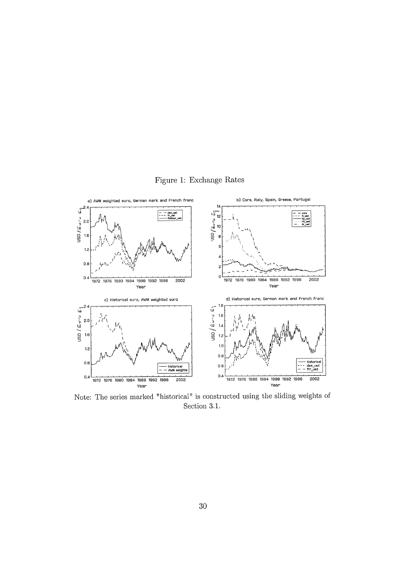



Note: The series marked "historical" is constructed using the sliding weights of Section 3.1.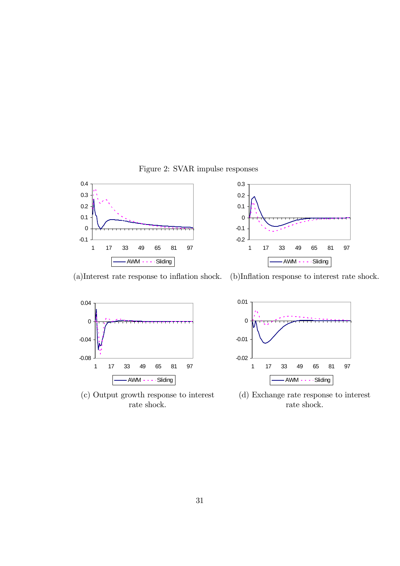Figure 2: SVAR impulse responses





(a)Interest rate response to inflation shock. (b)Inflation response to interest rate shock.



 $\label{eq:rate} \text{rate shock.}$ 



(c) Output growth response to interest (d) Exchange rate response to interest